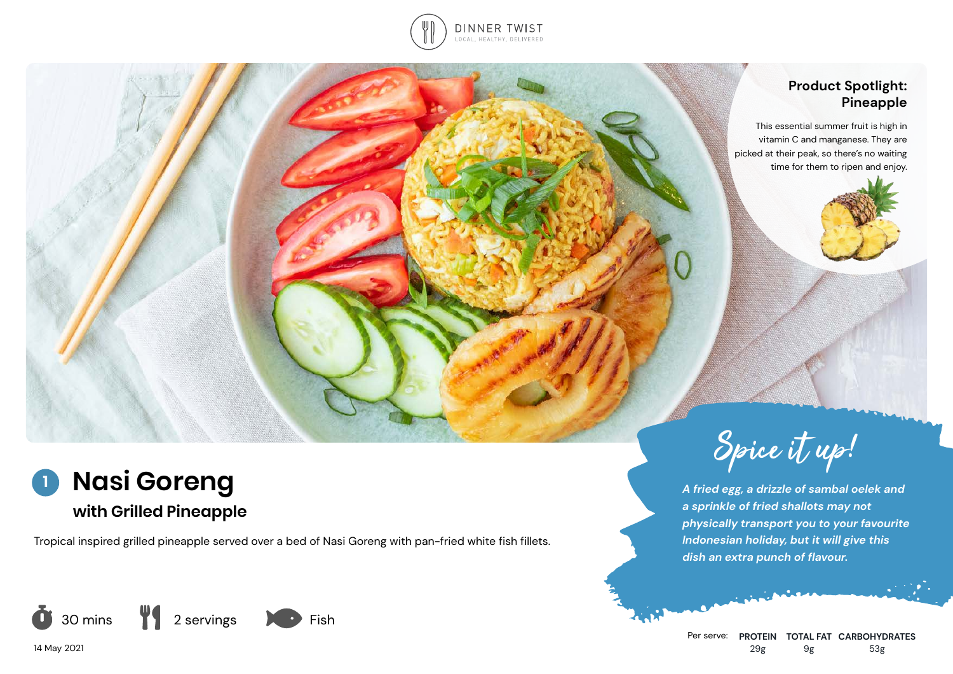

### **Product Spotlight: Pineapple**

This essential summer fruit is high in vitamin C and manganese. They are picked at their peak, so there's no waiting time for them to ripen and enjoy.



**with Grilled Pineapple**

Tropical inspired grilled pineapple served over a bed of Nasi Goreng with pan-fried white fish fillets.



14 May 2021



*A fried egg, a drizzle of sambal oelek and a sprinkle of fried shallots may not physically transport you to your favourite Indonesian holiday, but it will give this dish an extra punch of flavour.*